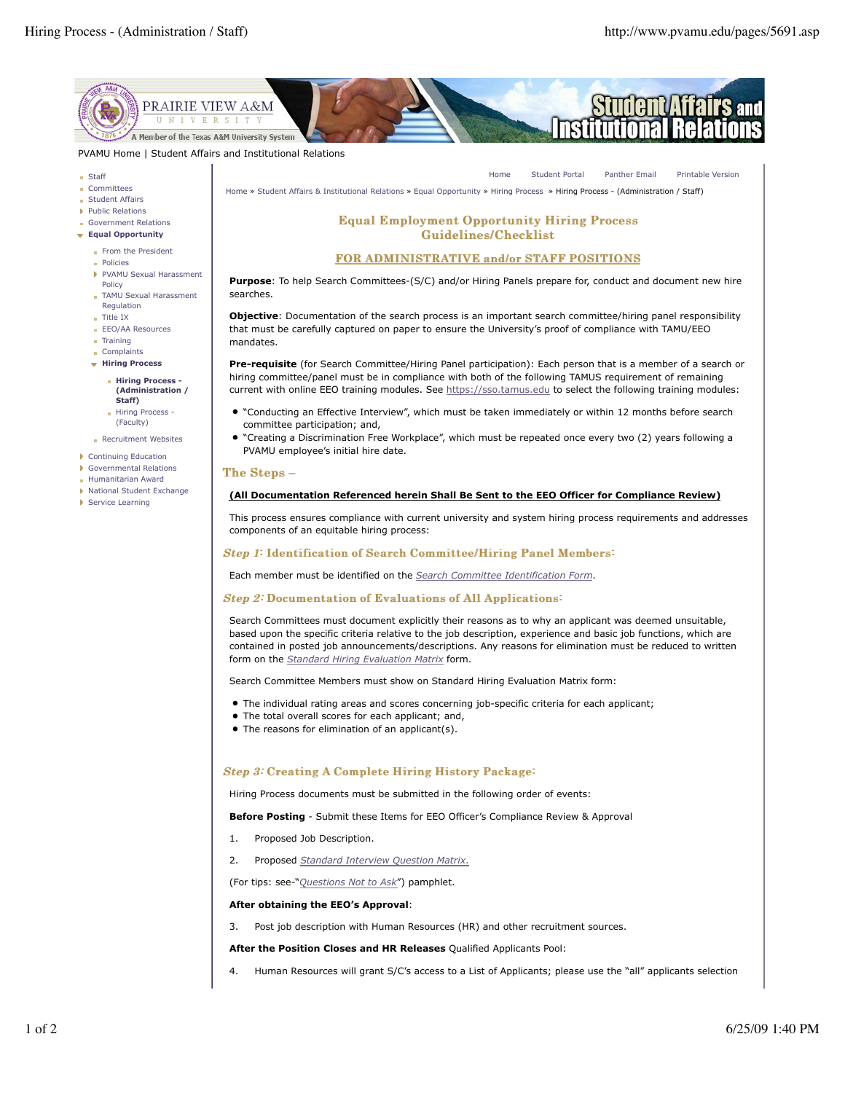**Printable Version** 



PVAMU Home | Student Affairs and Institutional Relations

- $S<sub>ta</sub>$
- Committees
- Student Affairs
- Public Relations
- Government Relations Equal Opportunity
	- From the President
	- **Policies**
	- PVAMU Sexual Harassment
	- Policy TAMU Sexual Harassment
	- Regulation  $\blacksquare$  Title IX
	- **EEO/AA Resources**
	- $\blacksquare$  Training
	- Complaints
	- + Hiring Process
		- **Hiring Process -**(Administration / Staff) Hiring Process -
		- (Faculty)
	- Recruitment Websites
- Continuing Education
- Governmental Relations
- Humanitarian Award
- National Student Exchange
- Service Learning

Home » Student Affairs & Institutional Relations » Fqual Opportunity » Hiring Process » Hiring Process - (Administration / Staff)

Home

**Student Portal** 

**Panther Email** 

# **Equal Employment Opportunity Hiring Process Guidelines/Checklist**

#### **FOR ADMINISTRATIVE and/or STAFF POSITIONS**

Purpose: To help Search Committees-(S/C) and/or Hiring Panels prepare for, conduct and document new hire searches.

Objective: Documentation of the search process is an important search committee/hiring panel responsibility that must be carefully captured on paper to ensure the University's proof of compliance with TAMU/EEO mandates

Pre-requisite (for Search Committee/Hiring Panel participation): Each person that is a member of a search or hiring committee/panel must be in compliance with both of the following TAMUS requirement of remaining current with online EEO training modules. See https://sso.tamus.edu to select the following training modules:

- . "Conducting an Effective Interview", which must be taken immediately or within 12 months before search committee participation; and,
- "Creating a Discrimination Free Workplace", which must be repeated once every two (2) years following a PVAMU employee's initial hire date.

#### The Steps -

## (All Documentation Referenced herein Shall Be Sent to the EEO Officer for Compliance Review)

This process ensures compliance with current university and system hiring process requirements and addresses components of an equitable hiring process:

### Step 1: Identification of Search Committee/Hiring Panel Members:

Each member must be identified on the Search Committee Identification Form.

### **Step 2: Documentation of Evaluations of All Applications:**

Search Committees must document explicitly their reasons as to why an applicant was deemed unsuitable, based upon the specific criteria relative to the job description, experience and basic job functions, which are contained in posted job announcements/descriptions. Any reasons for elimination must be reduced to written form on the *Standard Hiring Evaluation Matrix* form.

Search Committee Members must show on Standard Hiring Evaluation Matrix form:

- The individual rating areas and scores concerning job-specific criteria for each applicant;
- The total overall scores for each applicant; and,
- The reasons for elimination of an applicant(s).

# **Step 3: Creating A Complete Hiring History Package:**

Hiring Process documents must be submitted in the following order of events:

Before Posting - Submit these Items for EEO Officer's Compliance Review & Approval

- $1.$ Proposed Job Description.
- 2. Proposed Standard Interview Question Matrix.

(For tips: see-"Questions Not to Ask") pamphlet.

# After obtaining the EEO's Approval:

Post job description with Human Resources (HR) and other recruitment sources. 3.

After the Position Closes and HR Releases Qualified Applicants Pool:

 $\overline{4}$ Human Resources will grant S/C's access to a List of Applicants; please use the "all" applicants selection